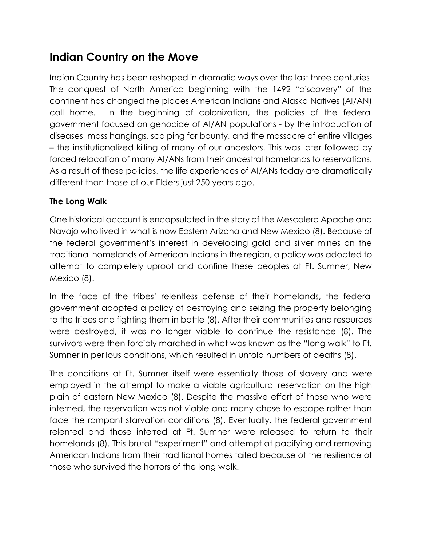# **Indian Country on the Move**

Indian Country has been reshaped in dramatic ways over the last three centuries. The conquest of North America beginning with the 1492 "discovery" of the continent has changed the places American Indians and Alaska Natives (AI/AN) call home. In the beginning of colonization, the policies of the federal government focused on genocide of AI/AN populations - by the introduction of diseases, mass hangings, scalping for bounty, and the massacre of entire villages – the institutionalized killing of many of our ancestors. This was later followed by forced relocation of many AI/ANs from their ancestral homelands to reservations. As a result of these policies, the life experiences of AI/ANs today are dramatically different than those of our Elders just 250 years ago.

### **The Long Walk**

One historical account is encapsulated in the story of the Mescalero Apache and Navajo who lived in what is now Eastern Arizona and New Mexico (8). Because of the federal government's interest in developing gold and silver mines on the traditional homelands of American Indians in the region, a policy was adopted to attempt to completely uproot and confine these peoples at Ft. Sumner, New Mexico (8).

In the face of the tribes' relentless defense of their homelands, the federal government adopted a policy of destroying and seizing the property belonging to the tribes and fighting them in battle (8). After their communities and resources were destroyed, it was no longer viable to continue the resistance (8). The survivors were then forcibly marched in what was known as the "long walk" to Ft. Sumner in perilous conditions, which resulted in untold numbers of deaths (8).

The conditions at Ft. Sumner itself were essentially those of slavery and were employed in the attempt to make a viable agricultural reservation on the high plain of eastern New Mexico (8). Despite the massive effort of those who were interned, the reservation was not viable and many chose to escape rather than face the rampant starvation conditions (8). Eventually, the federal government relented and those interred at Ft. Sumner were released to return to their homelands (8). This brutal "experiment" and attempt at pacifying and removing American Indians from their traditional homes failed because of the resilience of those who survived the horrors of the long walk.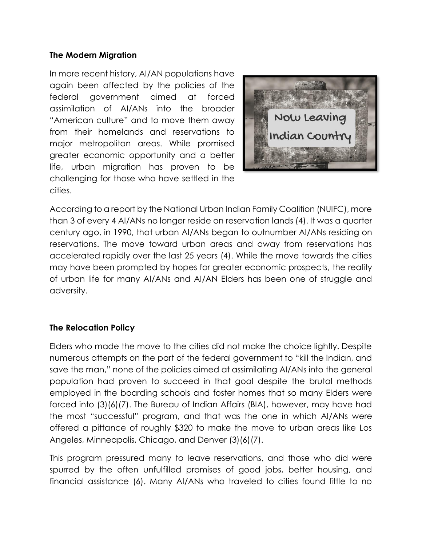#### **The Modern Migration**

In more recent history, AI/AN populations have again been affected by the policies of the federal government aimed at forced assimilation of AI/ANs into the broader "American culture" and to move them away from their homelands and reservations to major metropolitan areas. While promised greater economic opportunity and a better life, urban migration has proven to be challenging for those who have settled in the cities.



According to a report by the National Urban Indian Family Coalition (NUIFC), more than 3 of every 4 AI/ANs no longer reside on reservation lands (4). It was a quarter century ago, in 1990, that urban AI/ANs began to outnumber AI/ANs residing on reservations. The move toward urban areas and away from reservations has accelerated rapidly over the last 25 years (4). While the move towards the cities may have been prompted by hopes for greater economic prospects, the reality of urban life for many AI/ANs and AI/AN Elders has been one of struggle and adversity.

#### **The Relocation Policy**

Elders who made the move to the cities did not make the choice lightly. Despite numerous attempts on the part of the federal government to "kill the Indian, and save the man," none of the policies aimed at assimilating AI/ANs into the general population had proven to succeed in that goal despite the brutal methods employed in the boarding schools and foster homes that so many Elders were forced into (3)(6)(7). The Bureau of Indian Affairs (BIA), however, may have had the most "successful" program, and that was the one in which AI/ANs were offered a pittance of roughly \$320 to make the move to urban areas like Los Angeles, Minneapolis, Chicago, and Denver (3)(6)(7).

This program pressured many to leave reservations, and those who did were spurred by the often unfulfilled promises of good jobs, better housing, and financial assistance (6). Many AI/ANs who traveled to cities found little to no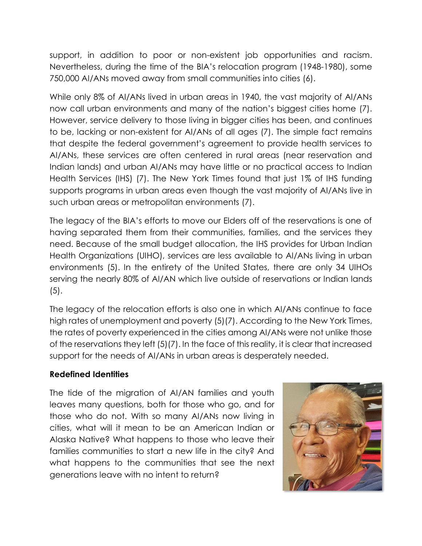support, in addition to poor or non-existent job opportunities and racism. Nevertheless, during the time of the BIA's relocation program (1948-1980), some 750,000 AI/ANs moved away from small communities into cities (6).

While only 8% of AI/ANs lived in urban areas in 1940, the vast majority of AI/ANs now call urban environments and many of the nation's biggest cities home (7). However, service delivery to those living in bigger cities has been, and continues to be, lacking or non-existent for AI/ANs of all ages (7). The simple fact remains that despite the federal government's agreement to provide health services to AI/ANs, these services are often centered in rural areas (near reservation and Indian lands) and urban AI/ANs may have little or no practical access to Indian Health Services (IHS) (7). The New York Times found that just 1% of IHS funding supports programs in urban areas even though the vast majority of AI/ANs live in such urban areas or metropolitan environments (7).

The legacy of the BIA's efforts to move our Elders off of the reservations is one of having separated them from their communities, families, and the services they need. Because of the small budget allocation, the IHS provides for Urban Indian Health Organizations (UIHO), services are less available to AI/ANs living in urban environments (5). In the entirety of the United States, there are only 34 UIHOs serving the nearly 80% of AI/AN which live outside of reservations or Indian lands  $(5).$ 

The legacy of the relocation efforts is also one in which AI/ANs continue to face high rates of unemployment and poverty (5)(7). According to the New York Times, the rates of poverty experienced in the cities among AI/ANs were not unlike those of the reservations they left (5)(7). In the face of this reality, it is clear that increased support for the needs of AI/ANs in urban areas is desperately needed.

#### **Redefined Identities**

The tide of the migration of AI/AN families and youth leaves many questions, both for those who go, and for those who do not. With so many AI/ANs now living in cities, what will it mean to be an American Indian or Alaska Native? What happens to those who leave their families communities to start a new life in the city? And what happens to the communities that see the next generations leave with no intent to return?

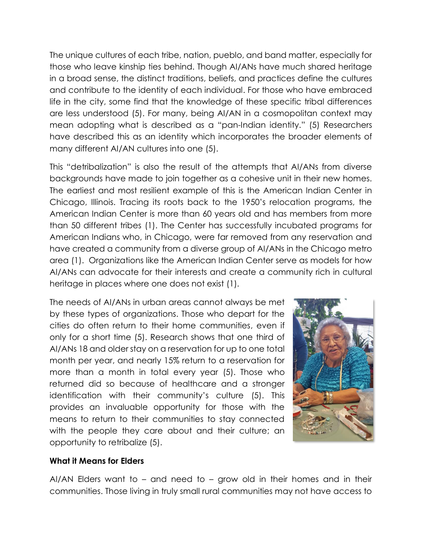The unique cultures of each tribe, nation, pueblo, and band matter, especially for those who leave kinship ties behind. Though AI/ANs have much shared heritage in a broad sense, the distinct traditions, beliefs, and practices define the cultures and contribute to the identity of each individual. For those who have embraced life in the city, some find that the knowledge of these specific tribal differences are less understood (5). For many, being AI/AN in a cosmopolitan context may mean adopting what is described as a "pan-Indian identity." (5) Researchers have described this as an identity which incorporates the broader elements of many different AI/AN cultures into one (5).

This "detribalization" is also the result of the attempts that AI/ANs from diverse backgrounds have made to join together as a cohesive unit in their new homes. The earliest and most resilient example of this is the American Indian Center in Chicago, Illinois. Tracing its roots back to the 1950's relocation programs, the American Indian Center is more than 60 years old and has members from more than 50 different tribes (1). The Center has successfully incubated programs for American Indians who, in Chicago, were far removed from any reservation and have created a community from a diverse group of AI/ANs in the Chicago metro area (1). Organizations like the American Indian Center serve as models for how AI/ANs can advocate for their interests and create a community rich in cultural heritage in places where one does not exist (1).

The needs of AI/ANs in urban areas cannot always be met by these types of organizations. Those who depart for the cities do often return to their home communities, even if only for a short time (5). Research shows that one third of AI/ANs 18 and older stay on a reservation for up to one total month per year, and nearly 15% return to a reservation for more than a month in total every year (5). Those who returned did so because of healthcare and a stronger identification with their community's culture (5). This provides an invaluable opportunity for those with the means to return to their communities to stay connected with the people they care about and their culture; an opportunity to retribalize (5).



#### **What it Means for Elders**

AI/AN Elders want to – and need to – grow old in their homes and in their communities. Those living in truly small rural communities may not have access to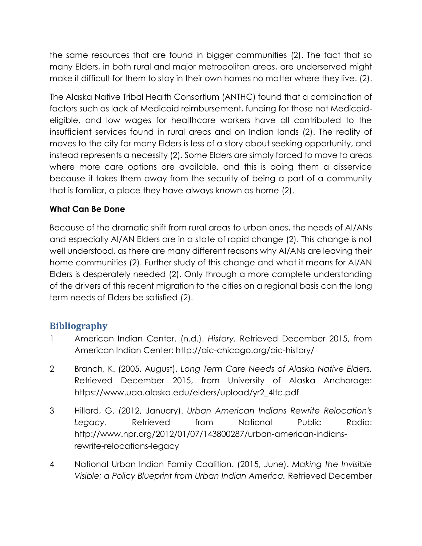the same resources that are found in bigger communities (2). The fact that so many Elders, in both rural and major metropolitan areas, are underserved might make it difficult for them to stay in their own homes no matter where they live. (2).

The Alaska Native Tribal Health Consortium (ANTHC) found that a combination of factors such as lack of Medicaid reimbursement, funding for those not Medicaideligible, and low wages for healthcare workers have all contributed to the insufficient services found in rural areas and on Indian lands (2). The reality of moves to the city for many Elders is less of a story about seeking opportunity, and instead represents a necessity (2). Some Elders are simply forced to move to areas where more care options are available, and this is doing them a disservice because it takes them away from the security of being a part of a community that is familiar, a place they have always known as home (2).

## **What Can Be Done**

Because of the dramatic shift from rural areas to urban ones, the needs of AI/ANs and especially AI/AN Elders are in a state of rapid change (2). This change is not well understood, as there are many different reasons why AI/ANs are leaving their home communities (2). Further study of this change and what it means for AI/AN Elders is desperately needed (2). Only through a more complete understanding of the drivers of this recent migration to the cities on a regional basis can the long term needs of Elders be satisfied (2).

# **Bibliography**

- 1 American Indian Center. (n.d.). *History.* Retrieved December 2015, from American Indian Center: http://aic-chicago.org/aic-history/
- 2 Branch, K. (2005, August). *Long Term Care Needs of Alaska Native Elders.* Retrieved December 2015, from University of Alaska Anchorage: https://www.uaa.alaska.edu/elders/upload/yr2\_4ltc.pdf
- 3 Hillard, G. (2012, January). *Urban American Indians Rewrite Relocation's Legacy.* Retrieved from National Public Radio: http://www.npr.org/2012/01/07/143800287/urban-american-indiansrewrite-relocations-legacy
- 4 National Urban Indian Family Coalition. (2015, June). *Making the Invisible Visible; a Policy Blueprint from Urban Indian America.* Retrieved December